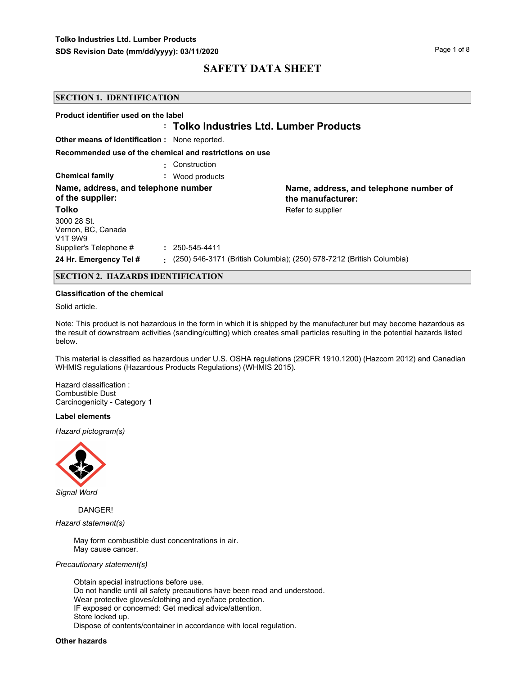| <b>SECTION 1. IDENTIFICATION</b>                          |                                                         |                                                                      |
|-----------------------------------------------------------|---------------------------------------------------------|----------------------------------------------------------------------|
| Product identifier used on the label                      | : Tolko Industries Ltd. Lumber Products                 |                                                                      |
| <b>Other means of identification:</b> None reported.      |                                                         |                                                                      |
|                                                           | Recommended use of the chemical and restrictions on use |                                                                      |
|                                                           | : Construction                                          |                                                                      |
| <b>Chemical family</b>                                    | Wood products<br>÷.                                     |                                                                      |
| Name, address, and telephone number<br>of the supplier:   |                                                         | Name, address, and telephone number of<br>the manufacturer:          |
| <b>Tolko</b>                                              |                                                         | Refer to supplier                                                    |
| 3000 28 St.<br>Vernon, BC, Canada<br>V <sub>1</sub> T 9W9 |                                                         |                                                                      |
| Supplier's Telephone #                                    | 250-545-4411                                            |                                                                      |
| 24 Hr. Emergency Tel #                                    | ÷.                                                      | (250) 546-3171 (British Columbia); (250) 578-7212 (British Columbia) |

### **SECTION 2. HAZARDS IDENTIFICATION**

#### **Classification of the chemical**

Solid article.

Note: This product is not hazardous in the form in which it is shipped by the manufacturer but may become hazardous as the result of downstream activities (sanding/cutting) which creates small particles resulting in the potential hazards listed below.

This material is classified as hazardous under U.S. OSHA regulations (29CFR 1910.1200) (Hazcom 2012) and Canadian WHMIS regulations (Hazardous Products Regulations) (WHMIS 2015).

Hazard classification : Combustible Dust Carcinogenicity - Category 1

#### **Label elements**

*Hazard pictogram(s)*



*Signal Word*

DANGER!

*Hazard statement(s)*

May form combustible dust concentrations in air. May cause cancer.

#### *Precautionary statement(s)*

Obtain special instructions before use. Do not handle until all safety precautions have been read and understood. Wear protective gloves/clothing and eye/face protection. IF exposed or concerned: Get medical advice/attention. Store locked up. Dispose of contents/container in accordance with local regulation.

#### **Other hazards**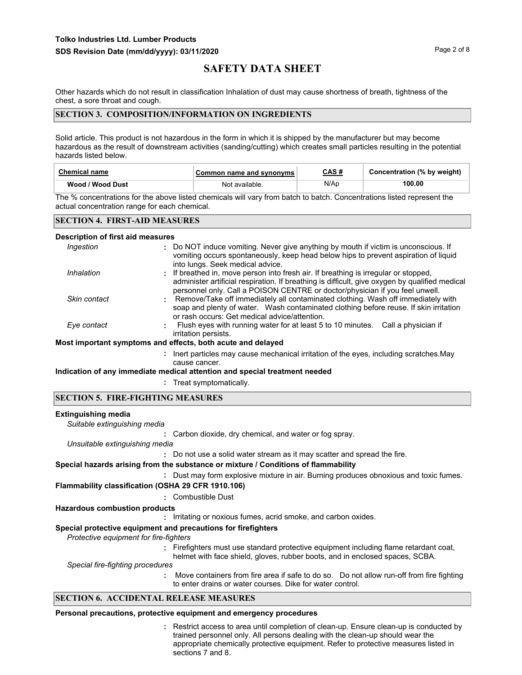Other hazards which do not result in classification Inhalation of dust may cause shortness of breath, tightness of the chest, a sore throat and cough.

### **SECTION 3. COMPOSITION/INFORMATION ON INGREDIENTS**

Solid article. This product is not hazardous in the form in which it is shipped by the manufacturer but may become hazardous as the result of downstream activities (sanding/cutting) which creates small particles resulting in the potential hazards listed below.

| Chemical name    | Common name and synonyms | CAS # | Concentration (% by weight) |
|------------------|--------------------------|-------|-----------------------------|
| Wood / Wood Dust | Not available.           | N/Ap  | 100.00                      |

The % concentrations for the above listed chemicals will vary from batch to batch. Concentrations listed represent the actual concentration range for each chemical.

### **SECTION 4. FIRST-AID MEASURES**

#### **Description of first aid measures**

| Ingestion    | : Do NOT induce vomiting. Never give anything by mouth if victim is unconscious. If<br>vomiting occurs spontaneously, keep head below hips to prevent aspiration of liquid<br>into lungs. Seek medical advice.                                                        |
|--------------|-----------------------------------------------------------------------------------------------------------------------------------------------------------------------------------------------------------------------------------------------------------------------|
| Inhalation   | : If breathed in, move person into fresh air. If breathing is irregular or stopped,<br>administer artificial respiration. If breathing is difficult, give oxygen by qualified medical<br>personnel only. Call a POISON CENTRE or doctor/physician if you feel unwell. |
| Skin contact | : Remove/Take off immediately all contaminated clothing. Wash off immediately with<br>soap and plenty of water. Wash contaminated clothing before reuse. If skin irritation<br>or rash occurs: Get medical advice/attention.                                          |
| Eye contact  | Flush eyes with running water for at least 5 to 10 minutes. Call a physician if<br>irritation persists.                                                                                                                                                               |
|              | Most important symptoms and effects, both acute and delayed                                                                                                                                                                                                           |
|              | : Inert particles may cause mechanical irritation of the eyes, including scratches. May                                                                                                                                                                               |
|              |                                                                                                                                                                                                                                                                       |

# cause cancer.

**Indication of any immediate medical attention and special treatment needed**

**:** Treat symptomatically.

#### **SECTION 5. FIRE-FIGHTING MEASURES**

#### **Extinguishing media**

**:** Carbon dioxide, dry chemical, and water or fog spray. *Suitable extinguishing media*

*Unsuitable extinguishing media*

**:** Do not use a solid water stream as it may scatter and spread the fire.

### **Special hazards arising from the substance or mixture / Conditions of flammability**

**:** Dust may form explosive mixture in air. Burning produces obnoxious and toxic fumes.

**Flammability classification (OSHA 29 CFR 1910.106)**

**:** Combustible Dust

## **Hazardous combustion products**

**:** Irritating or noxious fumes, acrid smoke, and carbon oxides.

## **Special protective equipment and precautions for firefighters**

*Protective equipment for fire-fighters*

**:** Firefighters must use standard protective equipment including flame retardant coat, helmet with face shield, gloves, rubber boots, and in enclosed spaces, SCBA.

*Special fire-fighting procedures*

**:** Move containers from fire area if safe to do so. Do not allow run-off from fire fighting to enter drains or water courses. Dike for water control.

## **SECTION 6. ACCIDENTAL RELEASE MEASURES**

### **Personal precautions, protective equipment and emergency procedures**

Restrict access to area until completion of clean-up. Ensure clean-up is conducted by **:** trained personnel only. All persons dealing with the clean-up should wear the appropriate chemically protective equipment. Refer to protective measures listed in sections 7 and 8.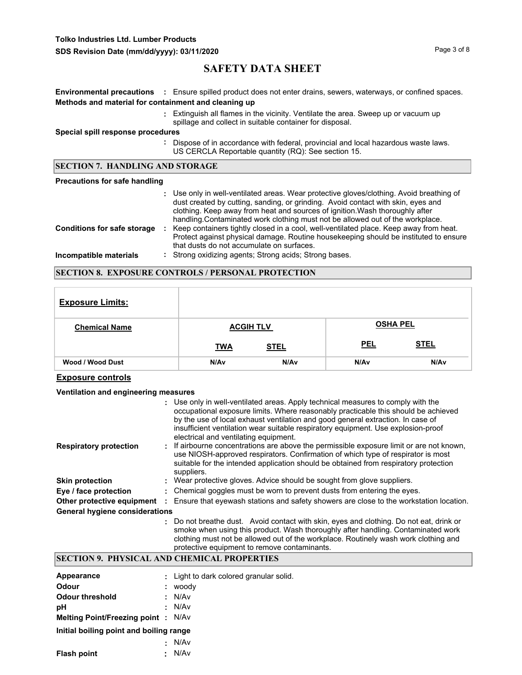# **Tolko Industries Ltd. Lumber Products**

# **SAFETY DATA SHEET**

|                                                      | <b>Environmental precautions</b> : Ensure spilled product does not enter drains, sewers, waterways, or confined spaces.                                                                                                                                                                                                                        |  |  |
|------------------------------------------------------|------------------------------------------------------------------------------------------------------------------------------------------------------------------------------------------------------------------------------------------------------------------------------------------------------------------------------------------------|--|--|
| Methods and material for containment and cleaning up |                                                                                                                                                                                                                                                                                                                                                |  |  |
|                                                      | : Extinguish all flames in the vicinity. Ventilate the area. Sweep up or vacuum up<br>spillage and collect in suitable container for disposal.                                                                                                                                                                                                 |  |  |
| Special spill response procedures                    |                                                                                                                                                                                                                                                                                                                                                |  |  |
|                                                      | : Dispose of in accordance with federal, provincial and local hazardous waste laws.<br>US CERCLA Reportable quantity (RQ): See section 15.                                                                                                                                                                                                     |  |  |
| <b>SECTION 7. HANDLING AND STORAGE</b>               |                                                                                                                                                                                                                                                                                                                                                |  |  |
|                                                      |                                                                                                                                                                                                                                                                                                                                                |  |  |
| <b>Precautions for safe handling</b>                 |                                                                                                                                                                                                                                                                                                                                                |  |  |
|                                                      | : Use only in well-ventilated areas. Wear protective gloves/clothing. Avoid breathing of<br>dust created by cutting, sanding, or grinding. Avoid contact with skin, eyes and<br>clothing. Keep away from heat and sources of ignition. Wash thoroughly after<br>handling. Contaminated work clothing must not be allowed out of the workplace. |  |  |
| <b>Conditions for safe storage</b>                   | Keep containers tightly closed in a cool, well-ventilated place. Keep away from heat.<br>÷.<br>Protect against physical damage. Routine housekeeping should be instituted to ensure<br>that dusts do not accumulate on surfaces.                                                                                                               |  |  |

### **SECTION 8. EXPOSURE CONTROLS / PERSONAL PROTECTION**

| <b>Exposure Limits:</b> |            |                  |            |                  |
|-------------------------|------------|------------------|------------|------------------|
| <b>Chemical Name</b>    |            | <b>ACGIH TLV</b> |            | <b>OSHA PEL</b>  |
|                         | <b>TWA</b> | <b>STEL</b>      | <b>PEL</b> | <b>STEL</b>      |
| Wood / Wood Dust        | N/Av       | N/A <sub>v</sub> | N/Av       | N/A <sub>v</sub> |

## **Exposure controls**

### **Ventilation and engineering measures**

|                                       | : Use only in well-ventilated areas. Apply technical measures to comply with the<br>occupational exposure limits. Where reasonably practicable this should be achieved<br>by the use of local exhaust ventilation and good general extraction. In case of<br>insufficient ventilation wear suitable respiratory equipment. Use explosion-proof<br>electrical and ventilating equipment. |
|---------------------------------------|-----------------------------------------------------------------------------------------------------------------------------------------------------------------------------------------------------------------------------------------------------------------------------------------------------------------------------------------------------------------------------------------|
| <b>Respiratory protection</b>         | : If airbourne concentrations are above the permissible exposure limit or are not known,<br>use NIOSH-approved respirators. Confirmation of which type of respirator is most<br>suitable for the intended application should be obtained from respiratory protection<br>suppliers.                                                                                                      |
| <b>Skin protection</b>                | : Wear protective gloves. Advice should be sought from glove suppliers.                                                                                                                                                                                                                                                                                                                 |
| Eye / face protection                 | : Chemical goggles must be worn to prevent dusts from entering the eyes.                                                                                                                                                                                                                                                                                                                |
| Other protective equipment            | Ensure that eyewash stations and safety showers are close to the workstation location.                                                                                                                                                                                                                                                                                                  |
| <b>General hygiene considerations</b> |                                                                                                                                                                                                                                                                                                                                                                                         |
|                                       | : Do not breathe dust. Avoid contact with skin, eyes and clothing. Do not eat, drink or<br>smoke when using this product. Wash thoroughly after handling. Contaminated work                                                                                                                                                                                                             |

## clothing must not be allowed out of the workplace. Routinely wash work clothing and protective equipment to remove contaminants.

# **SECTION 9. PHYSICAL AND CHEMICAL PROPERTIES**

| Appearance                                |    | : Light to dark colored granular solid. |
|-------------------------------------------|----|-----------------------------------------|
| Odour                                     | ÷. | woody                                   |
| Odour threshold                           |    | : N/Av                                  |
| рH                                        |    | : N/Av                                  |
| <b>Melting Point/Freezing point: N/Av</b> |    |                                         |
| Initial boiling point and boiling range   |    |                                         |
|                                           | х. | N/Av                                    |
| <b>Flash point</b>                        | ÷. | N/Av                                    |
|                                           |    |                                         |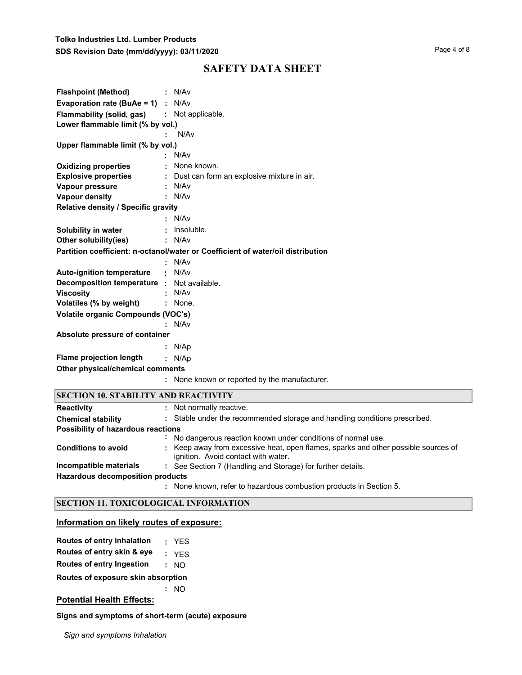| <b>Flashpoint (Method)</b>                  | : N/Av                                                                          |
|---------------------------------------------|---------------------------------------------------------------------------------|
| <b>Evaporation rate (BuAe = 1)</b> : $N/Av$ |                                                                                 |
| <b>Flammability (solid, gas)</b>            | : Not applicable.                                                               |
| Lower flammable limit (% by vol.)           |                                                                                 |
|                                             | N/Av                                                                            |
| Upper flammable limit (% by vol.)           |                                                                                 |
|                                             | N/Av                                                                            |
| <b>Oxidizing properties</b>                 | None known.                                                                     |
| <b>Explosive properties</b>                 | Dust can form an explosive mixture in air.                                      |
| Vapour pressure                             | N/Av                                                                            |
| <b>Vapour density</b>                       | N/Av                                                                            |
| Relative density / Specific gravity         |                                                                                 |
|                                             | N/Av                                                                            |
| Solubility in water                         | Insoluble.                                                                      |
| Other solubility(ies)                       | N/Av                                                                            |
|                                             | Partition coefficient: n-octanol/water or Coefficient of water/oil distribution |
|                                             | N/Av                                                                            |
| <b>Auto-ignition temperature</b>            | N/Av                                                                            |
| Decomposition temperature :                 | Not available.                                                                  |
| <b>Viscosity</b>                            | N/Av                                                                            |
| Volatiles (% by weight)                     | None.                                                                           |
| Volatile organic Compounds (VOC's)          |                                                                                 |
|                                             | N/Av                                                                            |
| Absolute pressure of container              |                                                                                 |
|                                             | N/Ap                                                                            |
| <b>Flame projection length</b>              | : N/Ap                                                                          |
| Other physical/chemical comments            |                                                                                 |
|                                             | : None known or reported by the manufacturer.                                   |
| <b>SECTION 10. STABILITY AND REACTIVITY</b> |                                                                                 |
| <b>Reactivity</b>                           | Not normally reactive.                                                          |
| <b>Chemical stability</b>                   | Stable under the recommended storage and handling conditions prescribed.        |
| Possibility of hazardous reactions          |                                                                                 |

| Possibility of hazardous reactions |    |                                                                                                                           |  |
|------------------------------------|----|---------------------------------------------------------------------------------------------------------------------------|--|
|                                    | ÷. | No dangerous reaction known under conditions of normal use.                                                               |  |
| <b>Conditions to avoid</b>         |    | : Keep away from excessive heat, open flames, sparks and other possible sources of<br>ignition. Avoid contact with water. |  |
| Incompatible materials             |    | : See Section 7 (Handling and Storage) for further details.                                                               |  |
| Hazardous decomposition products   |    |                                                                                                                           |  |
|                                    |    | : None known, refer to hazardous combustion products in Section 5.                                                        |  |

## **SECTION 11. TOXICOLOGICAL INFORMATION**

## **Information on likely routes of exposure:**

| Routes of entry inhalation |  | <b>YES</b> |
|----------------------------|--|------------|
|----------------------------|--|------------|

**Routes of entry skin & eye :** YES

**Routes of entry Ingestion :** NO

**Routes of exposure skin absorption**

**:** NO

# **Potential Health Effects:**

**Signs and symptoms of short-term (acute) exposure** 

*Sign and symptoms Inhalation*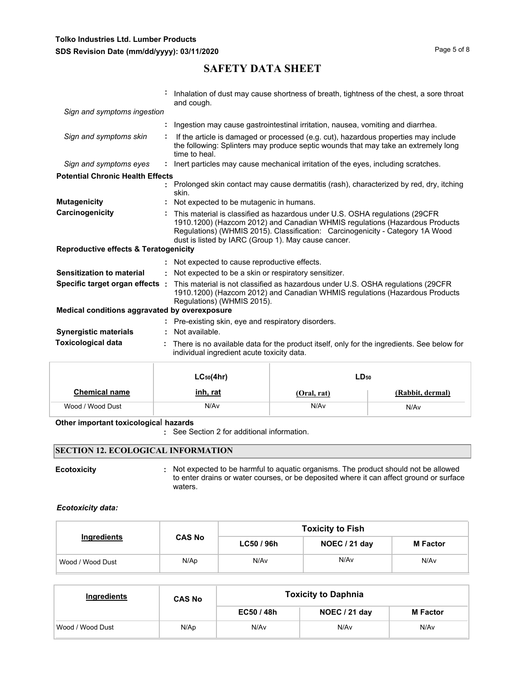|                                                  |    | Inhalation of dust may cause shortness of breath, tightness of the chest, a sore throat<br>and cough.                                                                                                                                                                                              |
|--------------------------------------------------|----|----------------------------------------------------------------------------------------------------------------------------------------------------------------------------------------------------------------------------------------------------------------------------------------------------|
| Sign and symptoms ingestion                      |    |                                                                                                                                                                                                                                                                                                    |
|                                                  |    | Ingestion may cause gastrointestinal irritation, nausea, vomiting and diarrhea.                                                                                                                                                                                                                    |
| Sign and symptoms skin                           |    | If the article is damaged or processed (e.g. cut), hazardous properties may include<br>the following: Splinters may produce septic wounds that may take an extremely long<br>time to heal.                                                                                                         |
| Sign and symptoms eyes                           |    | : Inert particles may cause mechanical irritation of the eyes, including scratches.                                                                                                                                                                                                                |
| <b>Potential Chronic Health Effects</b>          |    |                                                                                                                                                                                                                                                                                                    |
|                                                  |    | Prolonged skin contact may cause dermatitis (rash), characterized by red, dry, itching<br>skin.                                                                                                                                                                                                    |
| <b>Mutagenicity</b>                              |    | Not expected to be mutagenic in humans.                                                                                                                                                                                                                                                            |
| Carcinogenicity                                  |    | This material is classified as hazardous under U.S. OSHA regulations (29CFR<br>1910.1200) (Hazcom 2012) and Canadian WHMIS regulations (Hazardous Products<br>Regulations) (WHMIS 2015). Classification: Carcinogenicity - Category 1A Wood<br>dust is listed by IARC (Group 1). May cause cancer. |
| <b>Reproductive effects &amp; Teratogenicity</b> |    |                                                                                                                                                                                                                                                                                                    |
|                                                  |    | : Not expected to cause reproductive effects.                                                                                                                                                                                                                                                      |
| <b>Sensitization to material</b>                 | ÷. | Not expected to be a skin or respiratory sensitizer.                                                                                                                                                                                                                                               |
| Specific target organ effects :                  |    | This material is not classified as hazardous under U.S. OSHA regulations (29CFR)<br>1910.1200) (Hazcom 2012) and Canadian WHMIS regulations (Hazardous Products<br>Regulations) (WHMIS 2015).                                                                                                      |
| Medical conditions aggravated by overexposure    |    |                                                                                                                                                                                                                                                                                                    |
|                                                  |    | : Pre-existing skin, eye and respiratory disorders.                                                                                                                                                                                                                                                |
| <b>Synergistic materials</b>                     |    | Not available.                                                                                                                                                                                                                                                                                     |
| <b>Toxicological data</b>                        |    | There is no available data for the product itself, only for the ingredients. See below for<br>individual ingredient acute toxicity data.                                                                                                                                                           |

| <b>SAFETY DATA SHEET</b> |  |
|--------------------------|--|
|--------------------------|--|

|                      | $LC_{50}(4hr)$ | $LD_{50}$   |                  |  |
|----------------------|----------------|-------------|------------------|--|
| <b>Chemical name</b> | inh, rat       | (Oral, rat) | (Rabbit, dermal) |  |
| Wood / Wood Dust     | N/Av           | N/Av        | N/Av             |  |

### **Other important toxicologica**l **hazards**

**:** See Section 2 for additional information.

## **SECTION 12. ECOLOGICAL INFORMATION**

**Ecotoxicity Example 20 CON**: Not expected to be harmful to aquatic organisms. The product should not be allowed to enter drains or water courses, or be deposited where it can affect ground or surface waters.

#### *Ecotoxicity data:*

|                  |               | <b>Toxicity to Fish</b> |               |                 |  |  |  |
|------------------|---------------|-------------------------|---------------|-----------------|--|--|--|
| Ingredients      | <b>CAS No</b> | LC50 / 96h              | NOEC / 21 day | <b>M</b> Factor |  |  |  |
| Wood / Wood Dust | N/Ap          | N/A <sub>v</sub>        | N/Av          | N/Av            |  |  |  |

| Ingredients      | <b>CAS No</b> | <b>Toxicity to Daphnia</b> |               |                 |  |
|------------------|---------------|----------------------------|---------------|-----------------|--|
|                  |               | EC50 / 48h                 | NOEC / 21 day | <b>M</b> Factor |  |
| Wood / Wood Dust | N/Ap          | N/Av                       | N/Av          | N/Av            |  |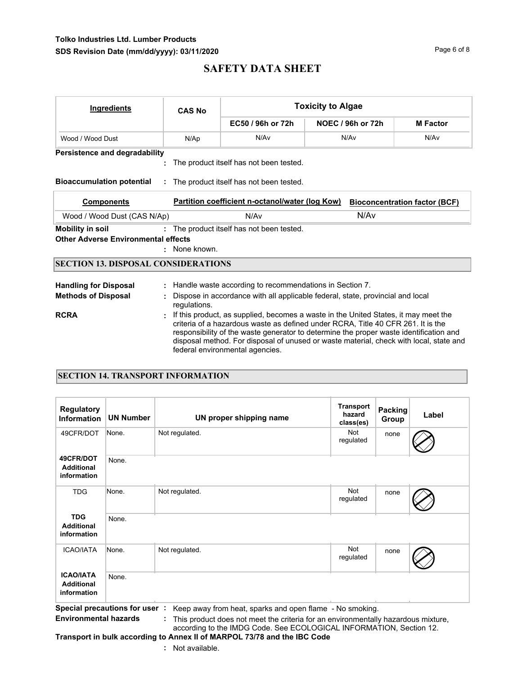# **Tolko Industries Ltd. Lumber Products** SDS Revision Date (mm/dd/yyyy): 03/11/2020

# **SAFETY DATA SHEET**

| <b>Ingredients</b>                         | <b>CAS No</b> |                                                                                                | <b>Toxicity to Algae</b>                                                                                                                                                                                                                                                                                                                                    |                                      |  |  |  |
|--------------------------------------------|---------------|------------------------------------------------------------------------------------------------|-------------------------------------------------------------------------------------------------------------------------------------------------------------------------------------------------------------------------------------------------------------------------------------------------------------------------------------------------------------|--------------------------------------|--|--|--|
|                                            |               | EC50 / 96h or 72h                                                                              | NOEC / 96h or 72h                                                                                                                                                                                                                                                                                                                                           | <b>M</b> Factor                      |  |  |  |
| Wood / Wood Dust                           | N/Ap          | N/Av                                                                                           | N/Av<br>N/Av                                                                                                                                                                                                                                                                                                                                                |                                      |  |  |  |
| <b>Persistence and degradability</b>       |               |                                                                                                |                                                                                                                                                                                                                                                                                                                                                             |                                      |  |  |  |
|                                            |               | The product itself has not been tested.                                                        |                                                                                                                                                                                                                                                                                                                                                             |                                      |  |  |  |
| <b>Bioaccumulation potential</b>           |               | : The product itself has not been tested.                                                      |                                                                                                                                                                                                                                                                                                                                                             |                                      |  |  |  |
| <b>Components</b>                          |               | Partition coefficient n-octanol/water (log Kow)                                                |                                                                                                                                                                                                                                                                                                                                                             | <b>Bioconcentration factor (BCF)</b> |  |  |  |
| Wood / Wood Dust (CAS N/Ap)                |               | N/A <sub>v</sub>                                                                               | N/A <sub>v</sub>                                                                                                                                                                                                                                                                                                                                            |                                      |  |  |  |
| <b>Mobility in soil</b>                    |               | : The product itself has not been tested.                                                      |                                                                                                                                                                                                                                                                                                                                                             |                                      |  |  |  |
| <b>Other Adverse Environmental effects</b> |               |                                                                                                |                                                                                                                                                                                                                                                                                                                                                             |                                      |  |  |  |
|                                            | : None known. |                                                                                                |                                                                                                                                                                                                                                                                                                                                                             |                                      |  |  |  |
| <b>SECTION 13. DISPOSAL CONSIDERATIONS</b> |               |                                                                                                |                                                                                                                                                                                                                                                                                                                                                             |                                      |  |  |  |
| <b>Handling for Disposal</b>               |               | Handle waste according to recommendations in Section 7.                                        |                                                                                                                                                                                                                                                                                                                                                             |                                      |  |  |  |
| <b>Methods of Disposal</b>                 |               | Dispose in accordance with all applicable federal, state, provincial and local<br>requlations. |                                                                                                                                                                                                                                                                                                                                                             |                                      |  |  |  |
| <b>RCRA</b>                                |               | federal environmental agencies.                                                                | If this product, as supplied, becomes a waste in the United States, it may meet the<br>criteria of a hazardous waste as defined under RCRA, Title 40 CFR 261. It is the<br>responsibility of the waste generator to determine the proper waste identification and<br>disposal method. For disposal of unused or waste material, check with local, state and |                                      |  |  |  |

### **SECTION 14. TRANSPORT INFORMATION**

| <b>Regulatory</b><br><b>Information</b>              | <b>UN Number</b> | UN proper shipping name | <b>Transport</b><br>hazard<br>class(es) | Packing<br>Group | Label |
|------------------------------------------------------|------------------|-------------------------|-----------------------------------------|------------------|-------|
| 49CFR/DOT                                            | None.            | Not regulated.          | Not<br>regulated                        | none             |       |
| 49CFR/DOT<br><b>Additional</b><br>information        | None.            |                         |                                         |                  |       |
| <b>TDG</b>                                           | None.            | Not regulated.          | Not<br>regulated                        | none             |       |
| <b>TDG</b><br><b>Additional</b><br>information       | None.            |                         |                                         |                  |       |
| <b>ICAO/IATA</b>                                     | None.            | Not regulated.          | Not<br>regulated                        | none             |       |
| <b>ICAO/IATA</b><br><b>Additional</b><br>information | None.            |                         |                                         |                  |       |

**Special precautions for user :** Keep away from heat, sparks and open flame - No smoking. **Environmental hazards :** This product does not meet the criteria for an environmentally hazardous mixture, according to the IMDG Code. See ECOLOGICAL INFORMATION, Section 12.

# **Transport in bulk according to Annex II of MARPOL 73/78 and the IBC Code**

**:** Not available.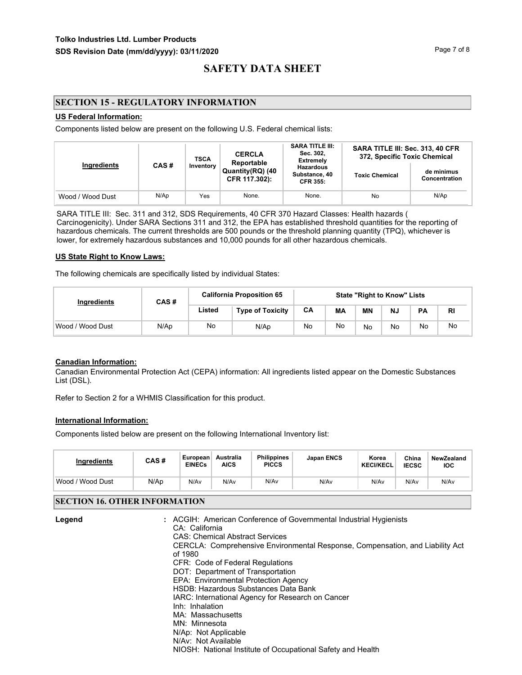## **SECTION 15 - REGULATORY INFORMATION**

#### **US Federal Information:**

Components listed below are present on the following U.S. Federal chemical lists:

|                  |                                                                       | <b>TSCA</b> | <b>CERCLA</b><br>Reportable                          | <b>SARA TITLE III:</b><br>Sec. 302,<br><b>Extremely</b> | SARA TITLE III: Sec. 313, 40 CFR<br>372, Specific Toxic Chemical |      |  |
|------------------|-----------------------------------------------------------------------|-------------|------------------------------------------------------|---------------------------------------------------------|------------------------------------------------------------------|------|--|
|                  | Ingredients<br>CAS#<br>Inventory<br>Quantity(RQ) (40<br>CFR 117.302): |             | <b>Hazardous</b><br>Substance, 40<br><b>CFR 355:</b> | <b>Toxic Chemical</b>                                   | de minimus<br>Concentration                                      |      |  |
| Wood / Wood Dust | N/Ap                                                                  | Yes         | None.                                                | None.                                                   | No                                                               | N/Ap |  |

SARA TITLE III: Sec. 311 and 312, SDS Requirements, 40 CFR 370 Hazard Classes: Health hazards ( Carcinogenicity). Under SARA Sections 311 and 312, the EPA has established threshold quantities for the reporting of hazardous chemicals. The current thresholds are 500 pounds or the threshold planning quantity (TPQ), whichever is lower, for extremely hazardous substances and 10,000 pounds for all other hazardous chemicals.

#### **US State Right to Know Laws:**

The following chemicals are specifically listed by individual States:

| Ingredients      | CAS# | <b>California Proposition 65</b> |                         | <b>State "Right to Know" Lists</b> |    |           |    |           |           |
|------------------|------|----------------------------------|-------------------------|------------------------------------|----|-----------|----|-----------|-----------|
|                  |      | Listed                           | <b>Type of Toxicity</b> | CA                                 | MА | <b>MN</b> | N. | <b>PA</b> | <b>RI</b> |
| Wood / Wood Dust | N/Ap | No                               | N/Ap                    | No                                 | No | No        | No | No        | No        |

## **Canadian Information:**

Canadian Environmental Protection Act (CEPA) information: All ingredients listed appear on the Domestic Substances List (DSL).

Refer to Section 2 for a WHMIS Classification for this product.

#### **International Information:**

Components listed below are present on the following International Inventory list:

| <b>Ingredients</b>  | CAS# | European<br><b>EINECs</b> | Australia<br><b>AICS</b> | <b>Philippines</b><br><b>PICCS</b> | <b>Japan ENCS</b> | Korea<br><b>KECI/KECL</b> | China<br><b>IECSC</b> | NewZealand<br><b>IOC</b> |
|---------------------|------|---------------------------|--------------------------|------------------------------------|-------------------|---------------------------|-----------------------|--------------------------|
| Wood /<br>Wood Dust | N/Ap | N/Av                      | N/Av                     | N/Av                               | N/Av              | N/Av                      | N/Av                  | N/Av                     |

### **SECTION 16. OTHER INFORMATION**

| Legend | : ACGIH: American Conference of Governmental Industrial Hygienists            |
|--------|-------------------------------------------------------------------------------|
|        | CA: California                                                                |
|        | <b>CAS: Chemical Abstract Services</b>                                        |
|        | CERCLA: Comprehensive Environmental Response, Compensation, and Liability Act |
|        | of 1980                                                                       |
|        | CFR: Code of Federal Regulations                                              |
|        | DOT: Department of Transportation                                             |
|        | EPA: Environmental Protection Agency                                          |
|        | HSDB: Hazardous Substances Data Bank                                          |
|        | IARC: International Agency for Research on Cancer                             |
|        | Inh: Inhalation                                                               |
|        | MA: Massachusetts                                                             |
|        | MN: Minnesota                                                                 |
|        | N/Ap: Not Applicable                                                          |
|        | N/Av: Not Available                                                           |
|        | NIOSH: National Institute of Occupational Safety and Health                   |